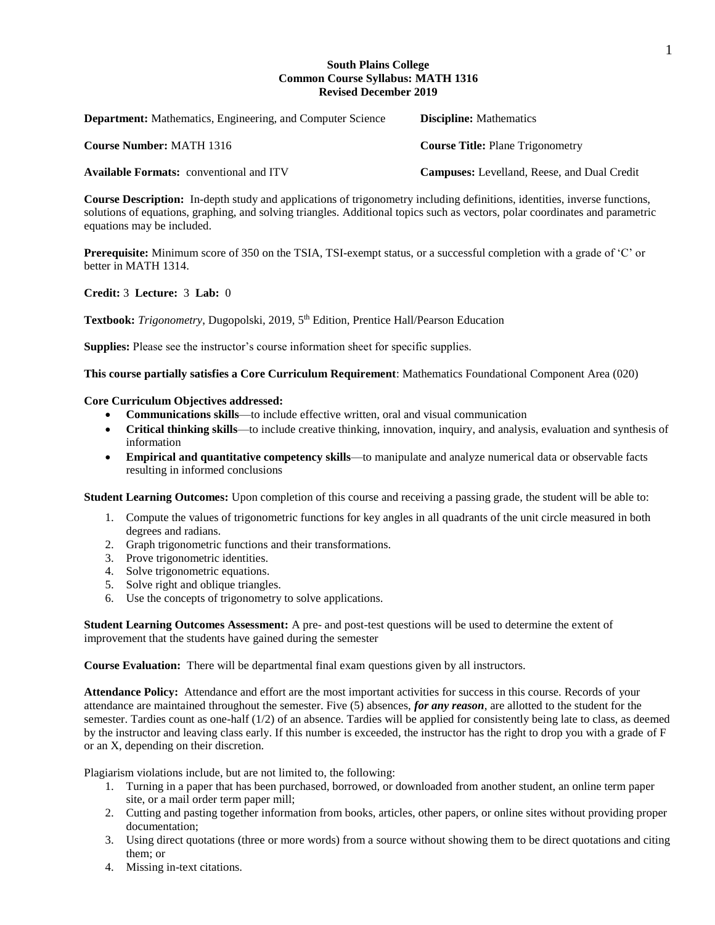#### 1

### **South Plains College Common Course Syllabus: MATH 1316 Revised December 2019**

| <b>Department:</b> Mathematics, Engineering, and Computer Science | <b>Discipline:</b> Mathematics                     |
|-------------------------------------------------------------------|----------------------------------------------------|
| <b>Course Number: MATH 1316</b>                                   | <b>Course Title: Plane Trigonometry</b>            |
| <b>Available Formats:</b> conventional and ITV                    | <b>Campuses:</b> Levelland, Reese, and Dual Credit |

**Course Description:** In-depth study and applications of trigonometry including definitions, identities, inverse functions, solutions of equations, graphing, and solving triangles. Additional topics such as vectors, polar coordinates and parametric equations may be included.

**Prerequisite:** Minimum score of 350 on the TSIA, TSI-exempt status, or a successful completion with a grade of 'C' or better in MATH 1314.

## **Credit:** 3 **Lecture:** 3 **Lab:** 0

Textbook: Trigonometry, Dugopolski, 2019, 5<sup>th</sup> Edition, Prentice Hall/Pearson Education

**Supplies:** Please see the instructor's course information sheet for specific supplies.

**This course partially satisfies a Core Curriculum Requirement**: Mathematics Foundational Component Area (020)

## **Core Curriculum Objectives addressed:**

- **Communications skills**—to include effective written, oral and visual communication
- **Critical thinking skills**—to include creative thinking, innovation, inquiry, and analysis, evaluation and synthesis of information
- **Empirical and quantitative competency skills**—to manipulate and analyze numerical data or observable facts resulting in informed conclusions

**Student Learning Outcomes:** Upon completion of this course and receiving a passing grade, the student will be able to:

- 1. Compute the values of trigonometric functions for key angles in all quadrants of the unit circle measured in both degrees and radians.
- 2. Graph trigonometric functions and their transformations.
- 3. Prove trigonometric identities.
- 4. Solve trigonometric equations.
- 5. Solve right and oblique triangles.
- 6. Use the concepts of trigonometry to solve applications.

**Student Learning Outcomes Assessment:** A pre- and post-test questions will be used to determine the extent of improvement that the students have gained during the semester

**Course Evaluation:** There will be departmental final exam questions given by all instructors.

**Attendance Policy:** Attendance and effort are the most important activities for success in this course. Records of your attendance are maintained throughout the semester. Five (5) absences, *for any reason*, are allotted to the student for the semester. Tardies count as one-half (1/2) of an absence. Tardies will be applied for consistently being late to class, as deemed by the instructor and leaving class early. If this number is exceeded, the instructor has the right to drop you with a grade of F or an X, depending on their discretion.

Plagiarism violations include, but are not limited to, the following:

- 1. Turning in a paper that has been purchased, borrowed, or downloaded from another student, an online term paper site, or a mail order term paper mill;
- 2. Cutting and pasting together information from books, articles, other papers, or online sites without providing proper documentation;
- 3. Using direct quotations (three or more words) from a source without showing them to be direct quotations and citing them; or
- 4. Missing in-text citations.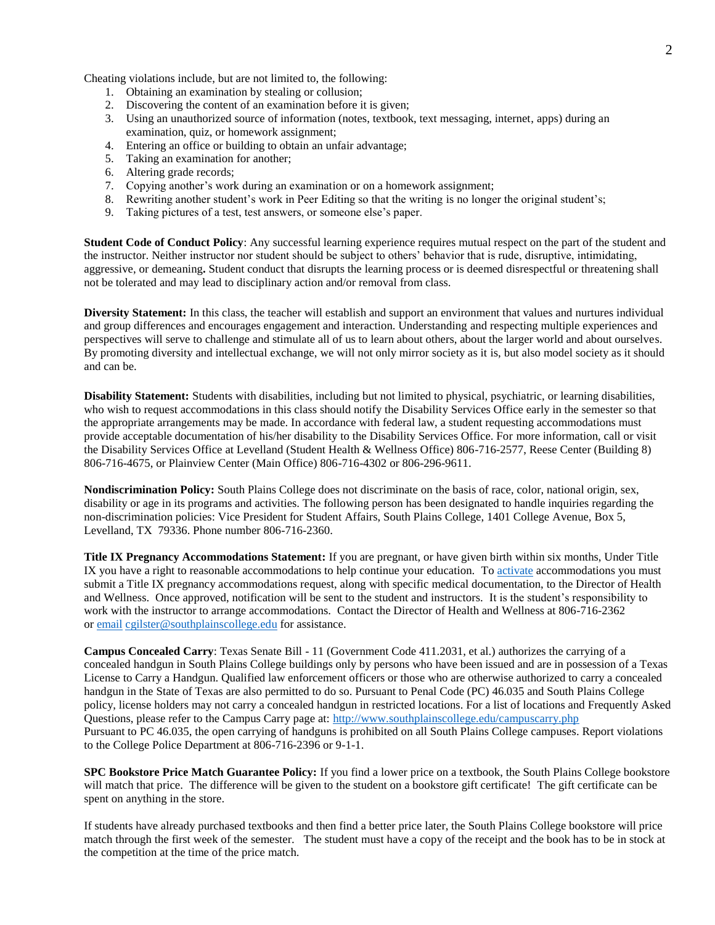Cheating violations include, but are not limited to, the following:

- 1. Obtaining an examination by stealing or collusion;
- 2. Discovering the content of an examination before it is given;
- 3. Using an unauthorized source of information (notes, textbook, text messaging, internet, apps) during an examination, quiz, or homework assignment;
- 4. Entering an office or building to obtain an unfair advantage;
- 5. Taking an examination for another;
- 6. Altering grade records;
- 7. Copying another's work during an examination or on a homework assignment;
- 8. Rewriting another student's work in Peer Editing so that the writing is no longer the original student's;
- 9. Taking pictures of a test, test answers, or someone else's paper.

**Student Code of Conduct Policy**: Any successful learning experience requires mutual respect on the part of the student and the instructor. Neither instructor nor student should be subject to others' behavior that is rude, disruptive, intimidating, aggressive, or demeaning**.** Student conduct that disrupts the learning process or is deemed disrespectful or threatening shall not be tolerated and may lead to disciplinary action and/or removal from class.

**Diversity Statement:** In this class, the teacher will establish and support an environment that values and nurtures individual and group differences and encourages engagement and interaction. Understanding and respecting multiple experiences and perspectives will serve to challenge and stimulate all of us to learn about others, about the larger world and about ourselves. By promoting diversity and intellectual exchange, we will not only mirror society as it is, but also model society as it should and can be.

**Disability Statement:** Students with disabilities, including but not limited to physical, psychiatric, or learning disabilities, who wish to request accommodations in this class should notify the Disability Services Office early in the semester so that the appropriate arrangements may be made. In accordance with federal law, a student requesting accommodations must provide acceptable documentation of his/her disability to the Disability Services Office. For more information, call or visit the Disability Services Office at Levelland (Student Health & Wellness Office) 806-716-2577, Reese Center (Building 8) 806-716-4675, or Plainview Center (Main Office) 806-716-4302 or 806-296-9611.

**Nondiscrimination Policy:** South Plains College does not discriminate on the basis of race, color, national origin, sex, disability or age in its programs and activities. The following person has been designated to handle inquiries regarding the non-discrimination policies: Vice President for Student Affairs, South Plains College, 1401 College Avenue, Box 5, Levelland, TX 79336. Phone number 806-716-2360.

**Title IX Pregnancy Accommodations Statement:** If you are pregnant, or have given birth within six months, Under Title IX you have a right to reasonable accommodations to help continue your education. To [activate](http://www.southplainscollege.edu/employees/manualshandbooks/facultyhandbook/sec4.php) accommodations you must submit a Title IX pregnancy accommodations request, along with specific medical documentation, to the Director of Health and Wellness. Once approved, notification will be sent to the student and instructors. It is the student's responsibility to work with the instructor to arrange accommodations. Contact the Director of Health and Wellness at 806-716-2362 or [email](http://www.southplainscollege.edu/employees/manualshandbooks/facultyhandbook/sec4.php) [cgilster@southplainscollege.edu](mailto:cgilster@southplainscollege.edu) for assistance.

**Campus Concealed Carry**: Texas Senate Bill - 11 (Government Code 411.2031, et al.) authorizes the carrying of a concealed handgun in South Plains College buildings only by persons who have been issued and are in possession of a Texas License to Carry a Handgun. Qualified law enforcement officers or those who are otherwise authorized to carry a concealed handgun in the State of Texas are also permitted to do so. Pursuant to Penal Code (PC) 46.035 and South Plains College policy, license holders may not carry a concealed handgun in restricted locations. For a list of locations and Frequently Asked Questions, please refer to the Campus Carry page at: <http://www.southplainscollege.edu/campuscarry.php> Pursuant to PC 46.035, the open carrying of handguns is prohibited on all South Plains College campuses. Report violations to the College Police Department at 806-716-2396 or 9-1-1.

**SPC Bookstore Price Match Guarantee Policy:** If you find a lower price on a textbook, the South Plains College bookstore will match that price. The difference will be given to the student on a bookstore gift certificate! The gift certificate can be spent on anything in the store.

If students have already purchased textbooks and then find a better price later, the South Plains College bookstore will price match through the first week of the semester. The student must have a copy of the receipt and the book has to be in stock at the competition at the time of the price match.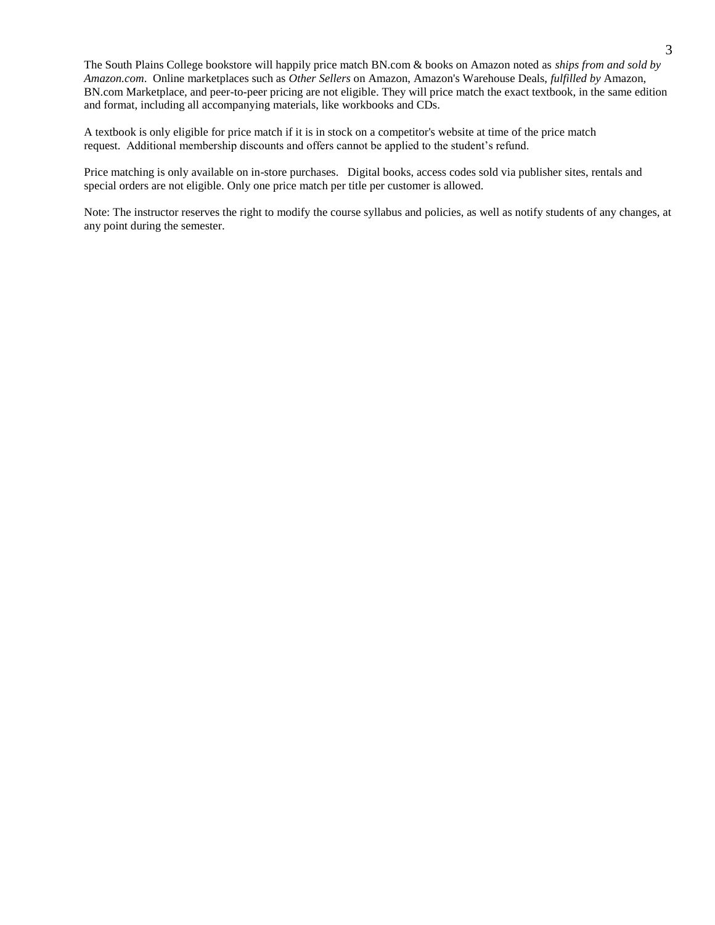The South Plains College bookstore will happily price match BN.com & books on Amazon noted as *ships from and sold by Amazon.com*. Online marketplaces such as *Other Sellers* on Amazon, Amazon's Warehouse Deals, *fulfilled by* Amazon, BN.com Marketplace, and peer-to-peer pricing are not eligible. They will price match the exact textbook, in the same edition and format, including all accompanying materials, like workbooks and CDs.

A textbook is only eligible for price match if it is in stock on a competitor's website at time of the price match request. Additional membership discounts and offers cannot be applied to the student's refund.

Price matching is only available on in-store purchases. Digital books, access codes sold via publisher sites, rentals and special orders are not eligible. Only one price match per title per customer is allowed.

Note: The instructor reserves the right to modify the course syllabus and policies, as well as notify students of any changes, at any point during the semester.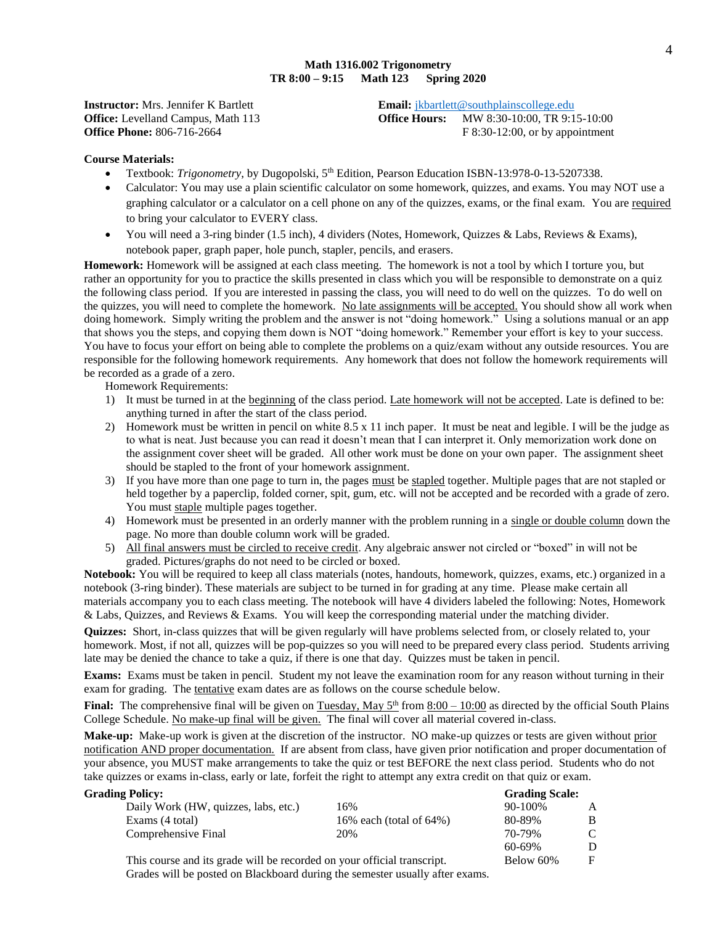#### **Math 1316.002 Trigonometry TR 8:00 – 9:15 Math 123 Spring 2020**

**Instructor:** Mrs. Jennifer K Bartlett **Email:** *ikbartlett@southplainscollege.edu* **Office:** Levelland Campus, Math 113 **Office Hours:** MW 8:30-10:00, TR 9:15-10:00 **Office Phone:** 806-716-2664 **F** 8:30-12:00, or by appointment

#### **Course Materials:**

- Textbook: *Trigonometry*, by Dugopolski, 5<sup>th</sup> Edition, Pearson Education ISBN-13:978-0-13-5207338.
- Calculator: You may use a plain scientific calculator on some homework, quizzes, and exams. You may NOT use a graphing calculator or a calculator on a cell phone on any of the quizzes, exams, or the final exam. You are required to bring your calculator to EVERY class.
- $\bullet$  You will need a 3-ring binder (1.5 inch), 4 dividers (Notes, Homework, Quizzes & Labs, Reviews & Exams), notebook paper, graph paper, hole punch, stapler, pencils, and erasers.

**Homework:** Homework will be assigned at each class meeting. The homework is not a tool by which I torture you, but rather an opportunity for you to practice the skills presented in class which you will be responsible to demonstrate on a quiz the following class period. If you are interested in passing the class, you will need to do well on the quizzes. To do well on the quizzes, you will need to complete the homework. No late assignments will be accepted. You should show all work when doing homework. Simply writing the problem and the answer is not "doing homework." Using a solutions manual or an app that shows you the steps, and copying them down is NOT "doing homework." Remember your effort is key to your success. You have to focus your effort on being able to complete the problems on a quiz/exam without any outside resources. You are responsible for the following homework requirements. Any homework that does not follow the homework requirements will be recorded as a grade of a zero.

Homework Requirements:

- 1) It must be turned in at the beginning of the class period. Late homework will not be accepted. Late is defined to be: anything turned in after the start of the class period.
- 2) Homework must be written in pencil on white  $8.5 \times 11$  inch paper. It must be neat and legible. I will be the judge as to what is neat. Just because you can read it doesn't mean that I can interpret it. Only memorization work done on the assignment cover sheet will be graded. All other work must be done on your own paper. The assignment sheet should be stapled to the front of your homework assignment.
- 3) If you have more than one page to turn in, the pages must be stapled together. Multiple pages that are not stapled or held together by a paperclip, folded corner, spit, gum, etc. will not be accepted and be recorded with a grade of zero. You must staple multiple pages together.
- 4) Homework must be presented in an orderly manner with the problem running in a single or double column down the page. No more than double column work will be graded.
- 5) All final answers must be circled to receive credit. Any algebraic answer not circled or "boxed" in will not be graded. Pictures/graphs do not need to be circled or boxed.

**Notebook:** You will be required to keep all class materials (notes, handouts, homework, quizzes, exams, etc.) organized in a notebook (3-ring binder). These materials are subject to be turned in for grading at any time. Please make certain all materials accompany you to each class meeting. The notebook will have 4 dividers labeled the following: Notes, Homework & Labs, Quizzes, and Reviews & Exams. You will keep the corresponding material under the matching divider.

**Quizzes:** Short, in-class quizzes that will be given regularly will have problems selected from, or closely related to, your homework. Most, if not all, quizzes will be pop-quizzes so you will need to be prepared every class period. Students arriving late may be denied the chance to take a quiz, if there is one that day. Quizzes must be taken in pencil.

**Exams:** Exams must be taken in pencil. Student my not leave the examination room for any reason without turning in their exam for grading. The tentative exam dates are as follows on the course schedule below.

**Final:** The comprehensive final will be given on  $\frac{Tuesday}{May5}$  from  $8:00 - 10:00$  as directed by the official South Plains College Schedule. No make-up final will be given. The final will cover all material covered in-class.

**Make-up:** Make-up work is given at the discretion of the instructor. NO make-up quizzes or tests are given without prior notification AND proper documentation. If are absent from class, have given prior notification and proper documentation of your absence, you MUST make arrangements to take the quiz or test BEFORE the next class period. Students who do not take quizzes or exams in-class, early or late, forfeit the right to attempt any extra credit on that quiz or exam.

#### **Grading Policy: Grading Scale:**

| Daily Work (HW, quizzes, labs, etc.) | 16%                          | $90 - 100\%$ | A |
|--------------------------------------|------------------------------|--------------|---|
| Exams (4 total)                      | 16\% each (total of $64\%$ ) | 80-89%       | B |
| Comprehensive Final                  | 20%                          | 70-79%       |   |
|                                      |                              | 60-69%       |   |

This course and its grade will be recorded on your official transcript. Below 60% F Grades will be posted on Blackboard during the semester usually after exams.